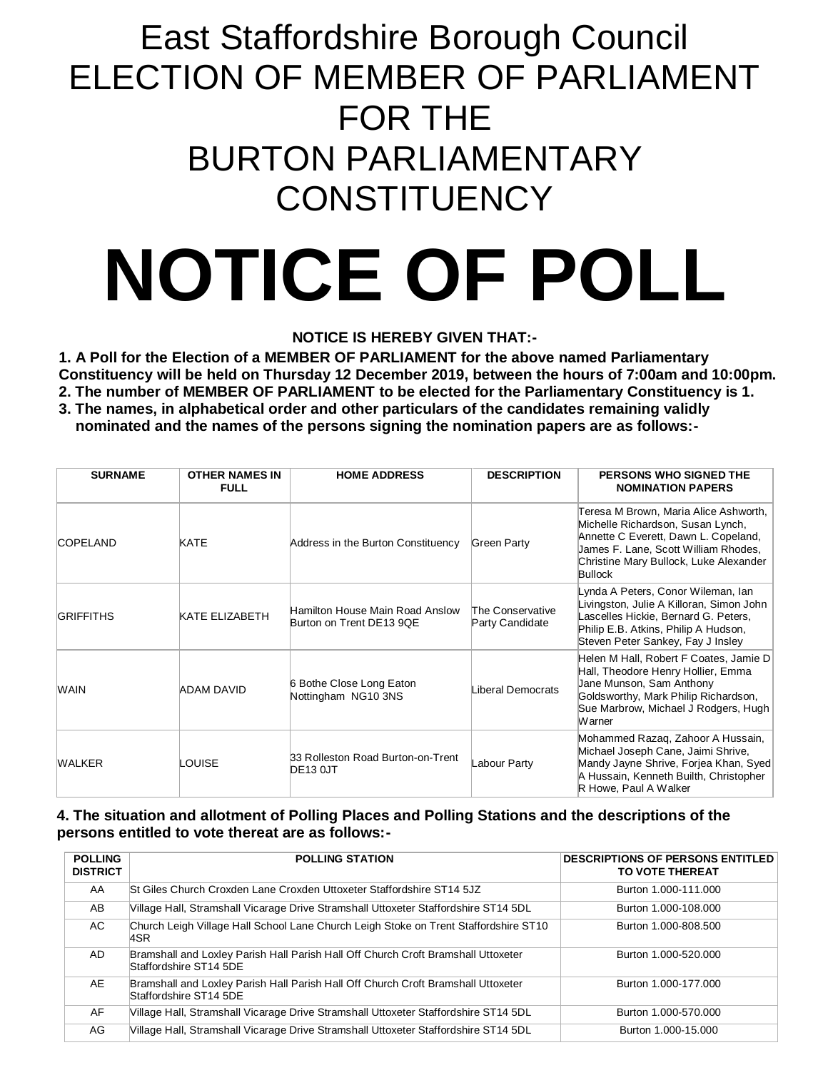## East Staffordshire Borough Council ELECTION OF MEMBER OF PARLIAMENT FOR THE BURTON PARLIAMENTARY **CONSTITUENCY**

# **NOTICE OF POLL**

#### **NOTICE IS HEREBY GIVEN THAT:-**

**1. A Poll for the Election of a MEMBER OF PARLIAMENT for the above named Parliamentary Constituency will be held on Thursday 12 December 2019, between the hours of 7:00am and 10:00pm.**

**2. The number of MEMBER OF PARLIAMENT to be elected for the Parliamentary Constituency is 1.**

**3. The names, in alphabetical order and other particulars of the candidates remaining validly nominated and the names of the persons signing the nomination papers are as follows:-**

| <b>SURNAME</b>   | <b>OTHER NAMES IN</b><br><b>FULL</b> | <b>HOME ADDRESS</b>                                         | <b>DESCRIPTION</b>                  | PERSONS WHO SIGNED THE<br><b>NOMINATION PAPERS</b>                                                                                                                                                                     |
|------------------|--------------------------------------|-------------------------------------------------------------|-------------------------------------|------------------------------------------------------------------------------------------------------------------------------------------------------------------------------------------------------------------------|
| <b>COPELAND</b>  | KATE                                 | Address in the Burton Constituency                          | Green Party                         | Teresa M Brown, Maria Alice Ashworth,<br>Michelle Richardson, Susan Lynch,<br>Annette C Everett, Dawn L. Copeland,<br>James F. Lane, Scott William Rhodes,<br>Christine Mary Bullock, Luke Alexander<br><b>Bullock</b> |
| <b>GRIFFITHS</b> | KATE ELIZABETH                       | Hamilton House Main Road Anslow<br>Burton on Trent DE13 9QE | The Conservative<br>Party Candidate | Lynda A Peters, Conor Wileman, Ian<br>Livingston, Julie A Killoran, Simon John<br>ascelles Hickie, Bernard G. Peters,<br>Philip E.B. Atkins, Philip A Hudson,<br>Steven Peter Sankey, Fay J Insley                     |
| <b>WAIN</b>      | ADAM DAVID                           | 6 Bothe Close Long Eaton<br>Nottingham NG10 3NS             | Liberal Democrats                   | Helen M Hall, Robert F Coates, Jamie D<br>Hall, Theodore Henry Hollier, Emma<br>Jane Munson, Sam Anthony<br>Goldsworthy, Mark Philip Richardson,<br>Sue Marbrow, Michael J Rodgers, Hugh<br>Warner                     |
| WALKER           | LOUISE                               | 33 Rolleston Road Burton-on-Trent<br><b>DE13 0JT</b>        | Labour Party                        | Mohammed Razaq, Zahoor A Hussain,<br>Michael Joseph Cane, Jaimi Shrive,<br>Mandy Jayne Shrive, Forjea Khan, Syed<br>A Hussain, Kenneth Builth, Christopher<br>R Howe, Paul A Walker                                    |

#### **4. The situation and allotment of Polling Places and Polling Stations and the descriptions of the persons entitled to vote thereat are as follows:-**

| <b>POLLING</b><br><b>DISTRICT</b> | <b>POLLING STATION</b>                                                                                      | <b>DESCRIPTIONS OF PERSONS ENTITLED</b><br>TO VOTE THEREAT |
|-----------------------------------|-------------------------------------------------------------------------------------------------------------|------------------------------------------------------------|
| AA                                | St Giles Church Croxden Lane Croxden Uttoxeter Staffordshire ST14 5JZ                                       | Burton 1.000-111.000                                       |
| AB                                | Village Hall, Stramshall Vicarage Drive Stramshall Uttoxeter Staffordshire ST14 5DL                         | Burton 1.000-108.000                                       |
| AC.                               | Church Leigh Village Hall School Lane Church Leigh Stoke on Trent Staffordshire ST10<br>4SR                 | Burton 1.000-808.500                                       |
| AD.                               | Bramshall and Loxley Parish Hall Parish Hall Off Church Croft Bramshall Uttoxeter<br>Staffordshire ST14 5DE | Burton 1.000-520.000                                       |
| AE                                | Bramshall and Loxley Parish Hall Parish Hall Off Church Croft Bramshall Uttoxeter<br>Staffordshire ST14 5DE | Burton 1.000-177.000                                       |
| AF                                | Village Hall, Stramshall Vicarage Drive Stramshall Uttoxeter Staffordshire ST14 5DL                         | Burton 1.000-570.000                                       |
| AG                                | Village Hall, Stramshall Vicarage Drive Stramshall Uttoxeter Staffordshire ST14 5DL                         | Burton 1.000-15.000                                        |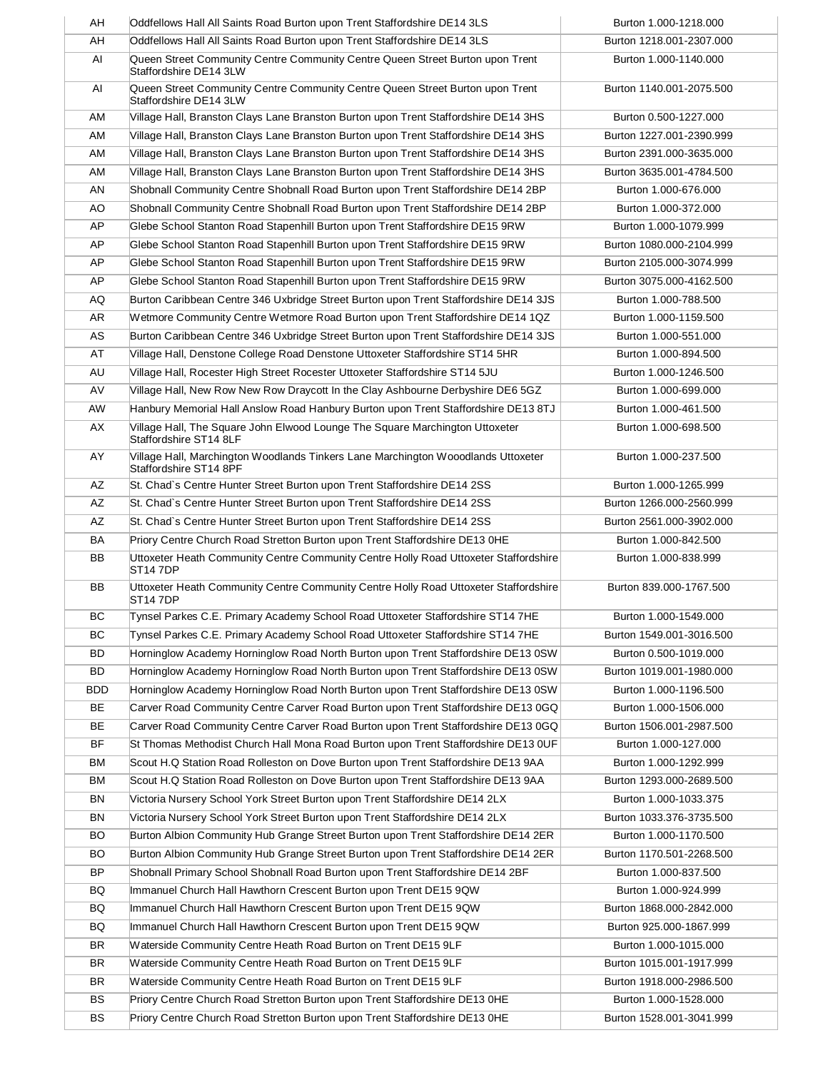| AH         | Oddfellows Hall All Saints Road Burton upon Trent Staffordshire DE14 3LS                                    | Burton 1.000-1218.000    |
|------------|-------------------------------------------------------------------------------------------------------------|--------------------------|
| AH         | Oddfellows Hall All Saints Road Burton upon Trent Staffordshire DE14 3LS                                    | Burton 1218.001-2307.000 |
| AI         | Queen Street Community Centre Community Centre Queen Street Burton upon Trent<br>Staffordshire DE14 3LW     | Burton 1.000-1140.000    |
| AI         | Queen Street Community Centre Community Centre Queen Street Burton upon Trent<br>Staffordshire DE14 3LW     | Burton 1140.001-2075.500 |
| AM         | Village Hall, Branston Clays Lane Branston Burton upon Trent Staffordshire DE14 3HS                         | Burton 0.500-1227.000    |
| AM         | Village Hall, Branston Clays Lane Branston Burton upon Trent Staffordshire DE14 3HS                         | Burton 1227.001-2390.999 |
| AM         | Village Hall, Branston Clays Lane Branston Burton upon Trent Staffordshire DE14 3HS                         | Burton 2391.000-3635.000 |
| AM         | Village Hall, Branston Clays Lane Branston Burton upon Trent Staffordshire DE14 3HS                         | Burton 3635.001-4784.500 |
| AN         | Shobnall Community Centre Shobnall Road Burton upon Trent Staffordshire DE14 2BP                            | Burton 1.000-676.000     |
| AO         | Shobnall Community Centre Shobnall Road Burton upon Trent Staffordshire DE14 2BP                            | Burton 1.000-372.000     |
| AP         | Glebe School Stanton Road Stapenhill Burton upon Trent Staffordshire DE15 9RW                               | Burton 1.000-1079.999    |
| AP         | Glebe School Stanton Road Stapenhill Burton upon Trent Staffordshire DE15 9RW                               | Burton 1080.000-2104.999 |
| AP         | Glebe School Stanton Road Stapenhill Burton upon Trent Staffordshire DE15 9RW                               | Burton 2105.000-3074.999 |
| AP         | Glebe School Stanton Road Stapenhill Burton upon Trent Staffordshire DE15 9RW                               | Burton 3075.000-4162.500 |
| AQ         | Burton Caribbean Centre 346 Uxbridge Street Burton upon Trent Staffordshire DE14 3JS                        | Burton 1.000-788.500     |
| AR         | Wetmore Community Centre Wetmore Road Burton upon Trent Staffordshire DE14 1QZ                              | Burton 1.000-1159.500    |
| AS         | Burton Caribbean Centre 346 Uxbridge Street Burton upon Trent Staffordshire DE14 3JS                        | Burton 1.000-551.000     |
| AT         | Village Hall, Denstone College Road Denstone Uttoxeter Staffordshire ST14 5HR                               | Burton 1.000-894.500     |
| AU         | Village Hall, Rocester High Street Rocester Uttoxeter Staffordshire ST14 5JU                                | Burton 1.000-1246.500    |
| AV         | Village Hall, New Row New Row Draycott In the Clay Ashbourne Derbyshire DE6 5GZ                             | Burton 1.000-699.000     |
| AW         | Hanbury Memorial Hall Anslow Road Hanbury Burton upon Trent Staffordshire DE13 8TJ                          | Burton 1.000-461.500     |
| AX         | Village Hall, The Square John Elwood Lounge The Square Marchington Uttoxeter                                | Burton 1.000-698.500     |
| AY         | Staffordshire ST14 8LF<br>Village Hall, Marchington Woodlands Tinkers Lane Marchington Wooodlands Uttoxeter | Burton 1.000-237.500     |
|            | Staffordshire ST14 8PF                                                                                      |                          |
| AZ         | St. Chad's Centre Hunter Street Burton upon Trent Staffordshire DE14 2SS                                    | Burton 1.000-1265.999    |
| AZ         | St. Chad's Centre Hunter Street Burton upon Trent Staffordshire DE14 2SS                                    | Burton 1266.000-2560.999 |
| AZ         | St. Chad's Centre Hunter Street Burton upon Trent Staffordshire DE14 2SS                                    | Burton 2561.000-3902.000 |
| BA         | Priory Centre Church Road Stretton Burton upon Trent Staffordshire DE13 OHE                                 | Burton 1.000-842.500     |
| BB         | Uttoxeter Heath Community Centre Community Centre Holly Road Uttoxeter Staffordshire<br><b>ST147DP</b>      | Burton 1.000-838.999     |
| <b>BB</b>  | Uttoxeter Heath Community Centre Community Centre Holly Road Uttoxeter Staffordshire<br><b>ST147DP</b>      | Burton 839.000-1767.500  |
| BC         | Tynsel Parkes C.E. Primary Academy School Road Uttoxeter Staffordshire ST14 7HE                             | Burton 1.000-1549.000    |
| ВC         | Tynsel Parkes C.E. Primary Academy School Road Uttoxeter Staffordshire ST14 7HE                             | Burton 1549.001-3016.500 |
| BD         | Horninglow Academy Horninglow Road North Burton upon Trent Staffordshire DE13 0SW                           | Burton 0.500-1019.000    |
| <b>BD</b>  | Horninglow Academy Horninglow Road North Burton upon Trent Staffordshire DE13 0SW                           | Burton 1019.001-1980.000 |
| <b>BDD</b> | Horninglow Academy Horninglow Road North Burton upon Trent Staffordshire DE13 0SW                           | Burton 1.000-1196.500    |
| BE         | Carver Road Community Centre Carver Road Burton upon Trent Staffordshire DE13 0GQ                           | Burton 1.000-1506.000    |
| BE         | Carver Road Community Centre Carver Road Burton upon Trent Staffordshire DE13 0GQ                           | Burton 1506.001-2987.500 |
| <b>BF</b>  | St Thomas Methodist Church Hall Mona Road Burton upon Trent Staffordshire DE13 0UF                          | Burton 1.000-127.000     |
| ВM         | Scout H.Q Station Road Rolleston on Dove Burton upon Trent Staffordshire DE13 9AA                           | Burton 1.000-1292.999    |
| <b>BM</b>  | Scout H.Q Station Road Rolleston on Dove Burton upon Trent Staffordshire DE13 9AA                           | Burton 1293.000-2689.500 |
| <b>BN</b>  | Victoria Nursery School York Street Burton upon Trent Staffordshire DE14 2LX                                | Burton 1.000-1033.375    |
| <b>BN</b>  | Victoria Nursery School York Street Burton upon Trent Staffordshire DE14 2LX                                | Burton 1033.376-3735.500 |
| <b>BO</b>  | Burton Albion Community Hub Grange Street Burton upon Trent Staffordshire DE14 2ER                          | Burton 1.000-1170.500    |
| <b>BO</b>  | Burton Albion Community Hub Grange Street Burton upon Trent Staffordshire DE14 2ER                          | Burton 1170.501-2268.500 |
| <b>BP</b>  | Shobnall Primary School Shobnall Road Burton upon Trent Staffordshire DE14 2BF                              | Burton 1.000-837.500     |
| BQ         | Immanuel Church Hall Hawthorn Crescent Burton upon Trent DE15 9QW                                           | Burton 1.000-924.999     |
| BQ         | Immanuel Church Hall Hawthorn Crescent Burton upon Trent DE15 9QW                                           | Burton 1868.000-2842.000 |
| BQ         | Immanuel Church Hall Hawthorn Crescent Burton upon Trent DE15 9QW                                           | Burton 925.000-1867.999  |
| <b>BR</b>  | Waterside Community Centre Heath Road Burton on Trent DE15 9LF                                              | Burton 1.000-1015.000    |
| <b>BR</b>  | Waterside Community Centre Heath Road Burton on Trent DE15 9LF                                              | Burton 1015.001-1917.999 |
| <b>BR</b>  | Waterside Community Centre Heath Road Burton on Trent DE15 9LF                                              | Burton 1918.000-2986.500 |
| <b>BS</b>  | Priory Centre Church Road Stretton Burton upon Trent Staffordshire DE13 0HE                                 | Burton 1.000-1528.000    |
| <b>BS</b>  | Priory Centre Church Road Stretton Burton upon Trent Staffordshire DE13 0HE                                 | Burton 1528.001-3041.999 |
|            |                                                                                                             |                          |